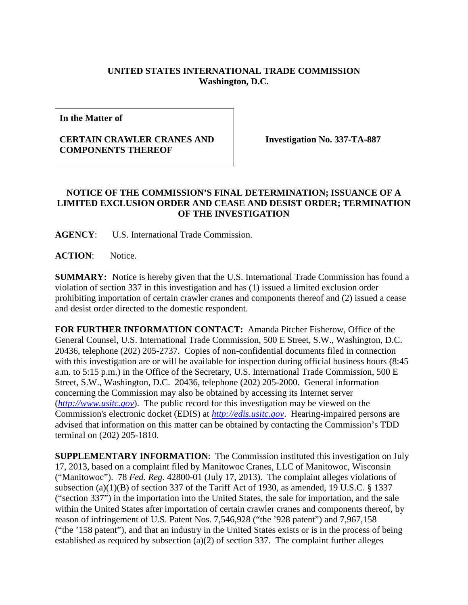## **UNITED STATES INTERNATIONAL TRADE COMMISSION Washington, D.C.**

**In the Matter of**

## **CERTAIN CRAWLER CRANES AND COMPONENTS THEREOF**

**Investigation No. 337-TA-887**

## **NOTICE OF THE COMMISSION'S FINAL DETERMINATION; ISSUANCE OF A LIMITED EXCLUSION ORDER AND CEASE AND DESIST ORDER; TERMINATION OF THE INVESTIGATION**

**AGENCY**: U.S. International Trade Commission.

**ACTION**: Notice.

**SUMMARY:** Notice is hereby given that the U.S. International Trade Commission has found a violation of section 337 in this investigation and has (1) issued a limited exclusion order prohibiting importation of certain crawler cranes and components thereof and (2) issued a cease and desist order directed to the domestic respondent.

**FOR FURTHER INFORMATION CONTACT:** Amanda Pitcher Fisherow, Office of the General Counsel, U.S. International Trade Commission, 500 E Street, S.W., Washington, D.C. 20436, telephone (202) 205-2737. Copies of non-confidential documents filed in connection with this investigation are or will be available for inspection during official business hours (8:45 a.m. to 5:15 p.m.) in the Office of the Secretary, U.S. International Trade Commission, 500 E Street, S.W., Washington, D.C. 20436, telephone (202) 205-2000. General information concerning the Commission may also be obtained by accessing its Internet server (*[http://www.usitc.gov](http://www.usitc.gov/)*). The public record for this investigation may be viewed on the Commission's electronic docket (EDIS) at *[http://edis.usitc.gov](http://edis.usitc.gov/)*. Hearing-impaired persons are advised that information on this matter can be obtained by contacting the Commission's TDD terminal on (202) 205-1810.

**SUPPLEMENTARY INFORMATION**: The Commission instituted this investigation on July 17, 2013, based on a complaint filed by Manitowoc Cranes, LLC of Manitowoc, Wisconsin ("Manitowoc"). 78 *Fed. Reg.* 42800-01 (July 17, 2013). The complaint alleges violations of subsection (a)(1)(B) of section 337 of the Tariff Act of 1930, as amended, 19 U.S.C.  $\S$  1337 ("section 337") in the importation into the United States, the sale for importation, and the sale within the United States after importation of certain crawler cranes and components thereof, by reason of infringement of U.S. Patent Nos. 7,546,928 ("the '928 patent") and 7,967,158 ("the '158 patent"), and that an industry in the United States exists or is in the process of being established as required by subsection (a)(2) of section 337. The complaint further alleges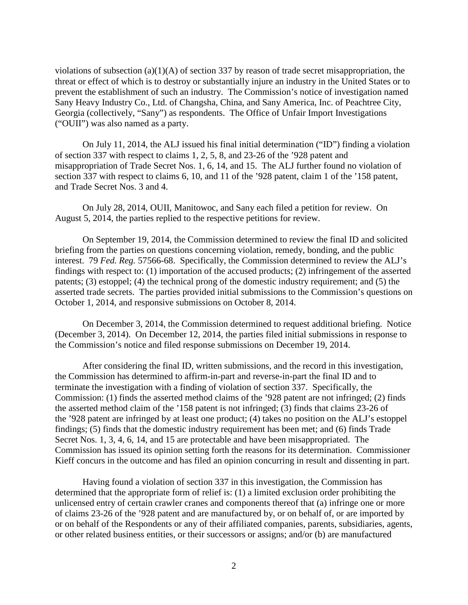violations of subsection (a)(1)(A) of section 337 by reason of trade secret misappropriation, the threat or effect of which is to destroy or substantially injure an industry in the United States or to prevent the establishment of such an industry. The Commission's notice of investigation named Sany Heavy Industry Co., Ltd. of Changsha, China, and Sany America, Inc. of Peachtree City, Georgia (collectively, "Sany") as respondents. The Office of Unfair Import Investigations ("OUII") was also named as a party.

On July 11, 2014, the ALJ issued his final initial determination ("ID") finding a violation of section 337 with respect to claims 1, 2, 5, 8, and 23-26 of the '928 patent and misappropriation of Trade Secret Nos. 1, 6, 14, and 15. The ALJ further found no violation of section 337 with respect to claims 6, 10, and 11 of the '928 patent, claim 1 of the '158 patent, and Trade Secret Nos. 3 and 4.

On July 28, 2014, OUII, Manitowoc, and Sany each filed a petition for review. On August 5, 2014, the parties replied to the respective petitions for review.

On September 19, 2014, the Commission determined to review the final ID and solicited briefing from the parties on questions concerning violation, remedy, bonding, and the public interest. 79 *Fed. Reg.* 57566-68. Specifically, the Commission determined to review the ALJ's findings with respect to: (1) importation of the accused products; (2) infringement of the asserted patents; (3) estoppel; (4) the technical prong of the domestic industry requirement; and (5) the asserted trade secrets. The parties provided initial submissions to the Commission's questions on October 1, 2014, and responsive submissions on October 8, 2014.

On December 3, 2014, the Commission determined to request additional briefing. Notice (December 3, 2014). On December 12, 2014, the parties filed initial submissions in response to the Commission's notice and filed response submissions on December 19, 2014.

After considering the final ID, written submissions, and the record in this investigation, the Commission has determined to affirm-in-part and reverse-in-part the final ID and to terminate the investigation with a finding of violation of section 337. Specifically, the Commission: (1) finds the asserted method claims of the '928 patent are not infringed; (2) finds the asserted method claim of the '158 patent is not infringed; (3) finds that claims 23-26 of the '928 patent are infringed by at least one product; (4) takes no position on the ALJ's estoppel findings; (5) finds that the domestic industry requirement has been met; and (6) finds Trade Secret Nos. 1, 3, 4, 6, 14, and 15 are protectable and have been misappropriated. The Commission has issued its opinion setting forth the reasons for its determination. Commissioner Kieff concurs in the outcome and has filed an opinion concurring in result and dissenting in part.

Having found a violation of section 337 in this investigation, the Commission has determined that the appropriate form of relief is: (1) a limited exclusion order prohibiting the unlicensed entry of certain crawler cranes and components thereof that (a) infringe one or more of claims 23-26 of the '928 patent and are manufactured by, or on behalf of, or are imported by or on behalf of the Respondents or any of their affiliated companies, parents, subsidiaries, agents, or other related business entities, or their successors or assigns; and/or (b) are manufactured